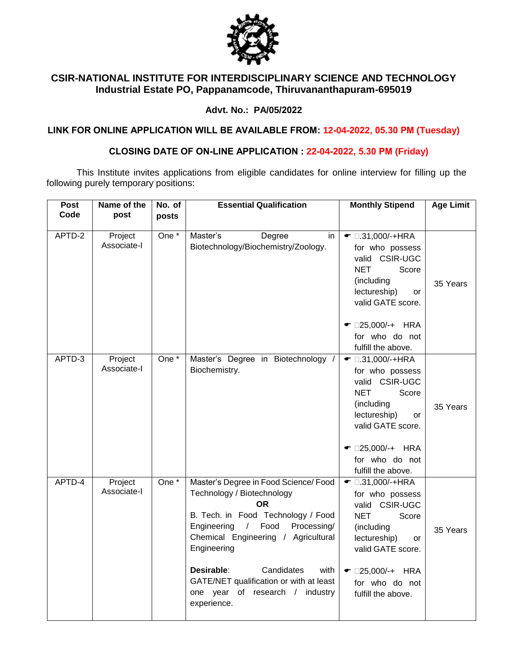

# **CSIR-NATIONAL INSTITUTE FOR INTERDISCIPLINARY SCIENCE AND TECHNOLOGY Industrial Estate PO, Pappanamcode, Thiruvananthapuram-695019**

### **Advt. No.: PA/05/2022**

**LINK FOR ONLINE APPLICATION WILL BE AVAILABLE FROM: 12-04-2022, 05.30 PM (Tuesday)**

# **CLOSING DATE OF ON-LINE APPLICATION : 22-04-2022, 5.30 PM (Friday)**

This Institute invites applications from eligible candidates for online interview for filling up the following purely temporary positions:

| <b>Post</b> | Name of the            | No. of           | <b>Essential Qualification</b>                                                                                                                                                                                                                                                                                                                                    | <b>Monthly Stipend</b>                                                                                                                                                                                            | <b>Age Limit</b> |
|-------------|------------------------|------------------|-------------------------------------------------------------------------------------------------------------------------------------------------------------------------------------------------------------------------------------------------------------------------------------------------------------------------------------------------------------------|-------------------------------------------------------------------------------------------------------------------------------------------------------------------------------------------------------------------|------------------|
| Code        | post                   | posts            |                                                                                                                                                                                                                                                                                                                                                                   |                                                                                                                                                                                                                   |                  |
|             |                        |                  |                                                                                                                                                                                                                                                                                                                                                                   |                                                                                                                                                                                                                   |                  |
| APTD-2      | Project<br>Associate-I | One $*$          | Master's<br>Degree<br>in.<br>Biotechnology/Biochemistry/Zoology.                                                                                                                                                                                                                                                                                                  | $\bullet$ 0.31,000/-+HRA<br>for who possess<br>valid CSIR-UGC<br><b>NET</b><br>Score<br>(including<br>lectureship)<br>or<br>valid GATE score.                                                                     | 35 Years         |
|             |                        |                  |                                                                                                                                                                                                                                                                                                                                                                   | $\bullet$ □25,000/-+ HRA<br>for who do not<br>fulfill the above.                                                                                                                                                  |                  |
| APTD-3      | Project<br>Associate-I | One <sup>*</sup> | Master's Degree in Biotechnology /<br>Biochemistry.                                                                                                                                                                                                                                                                                                               | $\bullet$ 0.31,000/-+HRA<br>for who possess<br>valid CSIR-UGC<br><b>NET</b><br>Score<br>(including<br>lectureship)<br>or<br>valid GATE score.<br>$\bullet$ □25,000/-+ HRA<br>for who do not<br>fulfill the above. | 35 Years         |
| APTD-4      | Project<br>Associate-I | $One*$           | Master's Degree in Food Science/ Food<br>Technology / Biotechnology<br><b>OR</b><br>B. Tech. in Food Technology / Food<br>Engineering<br>Food<br>Processing/<br>$\sqrt{2}$<br>Chemical Engineering / Agricultural<br>Engineering<br>Candidates<br>Desirable:<br>with<br>GATE/NET qualification or with at least<br>one year of research / industry<br>experience. | $\bullet$ 0.31,000/-+HRA<br>for who possess<br>valid CSIR-UGC<br>NET<br>Score<br>(including<br>lectureship)<br><b>or</b><br>valid GATE score.<br>$\bullet$ □25,000/-+ HRA<br>for who do not<br>fulfill the above. | 35 Years         |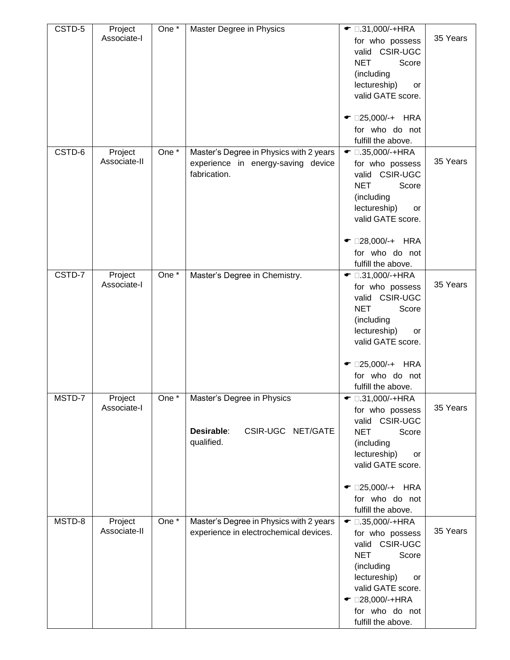| CSTD-5 | Project<br>Associate-I  | One *   | Master Degree in Physics                                                                      | $\bullet$ 0.31,000/-+HRA<br>for who possess<br>valid CSIR-UGC<br><b>NET</b><br>Score<br>(including<br>lectureship)<br>or<br>valid GATE score.<br>$\bullet$ □25,000/-+ HRA<br>for who do not<br>fulfill the above.    | 35 Years |
|--------|-------------------------|---------|-----------------------------------------------------------------------------------------------|----------------------------------------------------------------------------------------------------------------------------------------------------------------------------------------------------------------------|----------|
| CSTD-6 | Project<br>Associate-II | One $*$ | Master's Degree in Physics with 2 years<br>experience in energy-saving device<br>fabrication. | $\bullet$ 0.35,000/-+HRA<br>for who possess<br>valid CSIR-UGC<br><b>NET</b><br>Score<br>(including<br>lectureship)<br>or<br>valid GATE score.<br>$\bullet$ □28,000/-+ HRA<br>for who do not<br>fulfill the above.    | 35 Years |
| CSTD-7 | Project<br>Associate-I  | One *   | Master's Degree in Chemistry.                                                                 | $\bullet$ 0.31,000/-+HRA<br>for who possess<br>valid CSIR-UGC<br><b>NET</b><br>Score<br>(including<br>lectureship)<br>or<br>valid GATE score.<br>$\bullet$ □25,000/-+ HRA<br>for who do not<br>fulfill the above.    | 35 Years |
| MSTD-7 | Project<br>Associate-I  |         | One *   Master's Degree in Physics<br>Desirable:<br>CSIR-UGC NET/GATE<br>qualified.           | <del>•</del> □.31,000/-+HRA<br>for who possess<br>valid CSIR-UGC<br><b>NET</b><br>Score<br>(including<br>lectureship)<br>or<br>valid GATE score.<br>$\bullet$ 025,000/-+ HRA<br>for who do not<br>fulfill the above. | 35 Years |
| MSTD-8 | Project<br>Associate-II | One *   | Master's Degree in Physics with 2 years<br>experience in electrochemical devices.             | $\bullet$ 0.35,000/-+HRA<br>for who possess<br>valid CSIR-UGC<br><b>NET</b><br>Score<br>(including<br>lectureship)<br>or<br>valid GATE score.<br>$\bullet$ 028,000/-+HRA<br>for who do not<br>fulfill the above.     | 35 Years |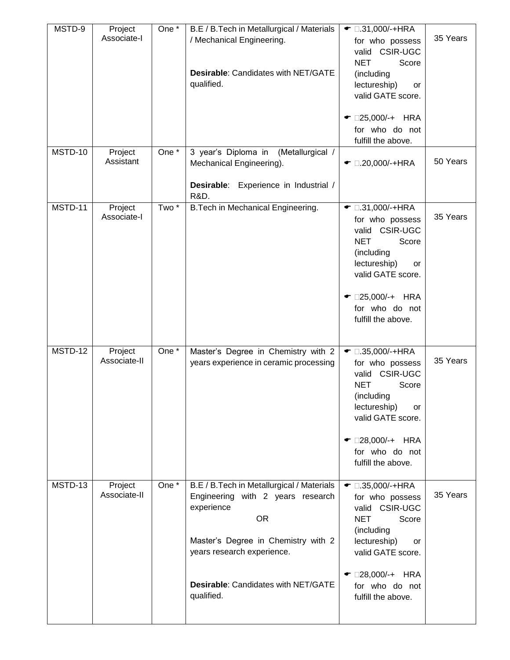| MSTD-9  | Project<br>Associate-I  | One *              | B.E / B.Tech in Metallurgical / Materials<br>/ Mechanical Engineering.                                                                                                         | $\bullet$ 0.31,000/-+HRA<br>for who possess<br>valid CSIR-UGC<br><b>NET</b><br>Score                                                                                                        | 35 Years |
|---------|-------------------------|--------------------|--------------------------------------------------------------------------------------------------------------------------------------------------------------------------------|---------------------------------------------------------------------------------------------------------------------------------------------------------------------------------------------|----------|
|         |                         |                    | <b>Desirable: Candidates with NET/GATE</b><br>qualified.                                                                                                                       | (including<br>lectureship)<br>or<br>valid GATE score.                                                                                                                                       |          |
|         |                         |                    |                                                                                                                                                                                | $\bullet$ 025,000/-+ HRA<br>for who do not<br>fulfill the above.                                                                                                                            |          |
| MSTD-10 | Project<br>Assistant    | One $\overline{A}$ | 3 year's Diploma in<br>(Metallurgical /<br>Mechanical Engineering).<br>Desirable: Experience in Industrial /                                                                   | $\bullet$ 0.20,000/-+HRA                                                                                                                                                                    | 50 Years |
|         |                         |                    | <b>R&amp;D.</b>                                                                                                                                                                |                                                                                                                                                                                             |          |
| MSTD-11 | Project<br>Associate-I  | $Two^*$            | B. Tech in Mechanical Engineering.                                                                                                                                             | $\bullet$ 0.31,000/-+HRA<br>for who possess<br>valid CSIR-UGC<br><b>NET</b><br>Score<br>(including<br>lectureship)<br>or<br>valid GATE score.<br>$\bullet$ 025,000/-+ HRA<br>for who do not | 35 Years |
| MSTD-12 |                         | One *              |                                                                                                                                                                                | fulfill the above.                                                                                                                                                                          |          |
|         | Project<br>Associate-II |                    | Master's Degree in Chemistry with 2<br>years experience in ceramic processing                                                                                                  | $\bullet$ 0.35,000/-+HRA<br>for who possess<br><b>CSIR-UGC</b><br>valid<br><b>NET</b><br>Score<br>(including<br>lectureship)<br>or<br>valid GATE score.<br>$\bullet$ □28,000/-+ HRA         | 35 Years |
|         |                         |                    |                                                                                                                                                                                | for who do not<br>fulfill the above.                                                                                                                                                        |          |
| MSTD-13 | Project<br>Associate-II | One *              | B.E / B.Tech in Metallurgical / Materials<br>Engineering with 2 years research<br>experience<br><b>OR</b><br>Master's Degree in Chemistry with 2<br>years research experience. | $\bullet$ 0.35,000/-+HRA<br>for who possess<br>valid CSIR-UGC<br>Score<br><b>NET</b><br>(including<br>lectureship)<br>or<br>valid GATE score.                                               | 35 Years |
|         |                         |                    | <b>Desirable: Candidates with NET/GATE</b><br>qualified.                                                                                                                       | $\bullet$ □28,000/-+ HRA<br>for who do not<br>fulfill the above.                                                                                                                            |          |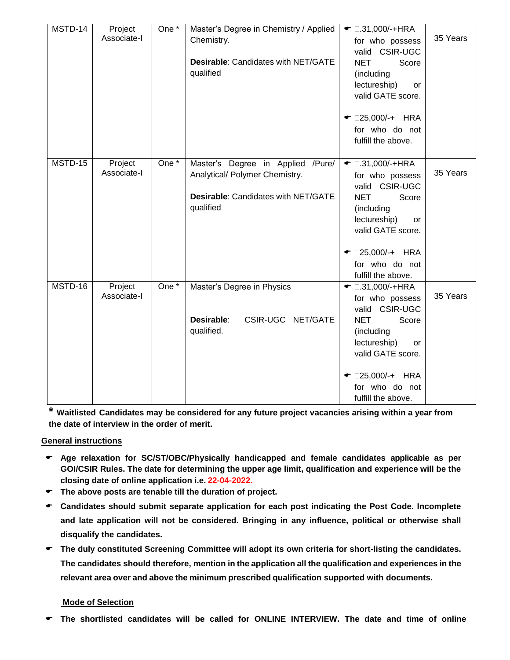| MSTD-14 | Project<br>Associate-I | One *            | Master's Degree in Chemistry / Applied<br>Chemistry.<br>Desirable: Candidates with NET/GATE<br>qualified                       | $\bullet$ 0.31,000/-+HRA<br>for who possess<br>valid CSIR-UGC<br><b>NET</b><br>Score<br>(including<br>lectureship)<br><b>or</b>                                                                                   | 35 Years |
|---------|------------------------|------------------|--------------------------------------------------------------------------------------------------------------------------------|-------------------------------------------------------------------------------------------------------------------------------------------------------------------------------------------------------------------|----------|
|         |                        |                  |                                                                                                                                | valid GATE score.<br>$\bullet$ 025,000/-+ HRA<br>for who do not<br>fulfill the above.                                                                                                                             |          |
| MSTD-15 | Project<br>Associate-I | One <sup>*</sup> | Master's Degree in Applied /Pure/<br>Analytical/ Polymer Chemistry.<br><b>Desirable: Candidates with NET/GATE</b><br>qualified | $\bullet$ 0.31,000/-+HRA<br>for who possess<br>valid CSIR-UGC<br><b>NET</b><br>Score<br>(including<br>lectureship)<br>or<br>valid GATE score.<br>$\bullet$ □25,000/-+ HRA<br>for who do not<br>fulfill the above. | 35 Years |
| MSTD-16 | Project<br>Associate-I | $One*$           | Master's Degree in Physics<br>Desirable:<br>CSIR-UGC NET/GATE<br>qualified.                                                    | $\bullet$ 0.31,000/-+HRA<br>for who possess<br>valid CSIR-UGC<br><b>NET</b><br>Score<br>(including<br>lectureship)<br>or<br>valid GATE score.<br>$\bullet$ □25,000/-+ HRA<br>for who do not<br>fulfill the above. | 35 Years |

**\* Waitlisted Candidates may be considered for any future project vacancies arising within a year from the date of interview in the order of merit.** 

#### **General instructions**

- **Age relaxation for SC/ST/OBC/Physically handicapped and female candidates applicable as per GOI/CSIR Rules. The date for determining the upper age limit, qualification and experience will be the closing date of online application i.e. 22-04-2022.**
- **The above posts are tenable till the duration of project.**
- **Candidates should submit separate application for each post indicating the Post Code. Incomplete and late application will not be considered. Bringing in any influence, political or otherwise shall disqualify the candidates.**
- **The duly constituted Screening Committee will adopt its own criteria for short-listing the candidates. The candidates should therefore, mention in the application all the qualification and experiences in the relevant area over and above the minimum prescribed qualification supported with documents.**

### **Mode of Selection**

**The shortlisted candidates will be called for ONLINE INTERVIEW. The date and time of online**